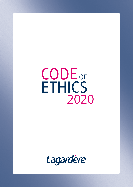# 2020 ETHICS CODE OF

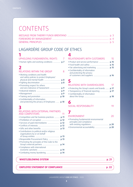## CONTENTS

### LAGARDÈRE GROUP CODE OF ETHICS

### $\blacksquare$

| UPHOLDING FUNDAMENTAL RIGHTS               | 7 |
|--------------------------------------------|---|
| • Human rights and working conditions  p.7 |   |

### $\overline{2}$

| <b>RELATIONS WITHIN THE GROUP</b>                                            |  |
|------------------------------------------------------------------------------|--|
| • Working conditions and health<br>and safety policies to protect Employees' |  |
|                                                                              |  |
| • Promoting respect for others                                               |  |
| and zero tolerance of harassment  p.9                                        |  |
|                                                                              |  |
|                                                                              |  |

| • Confidentiality of information |  |
|----------------------------------|--|

| and protecting the privacy of Employees  p.10 |  |
|-----------------------------------------------|--|

### $\overline{\mathbf{3}}$

### RELATIONS WITH EXTERNAL PARTNERS<br>AND COMPETITORS

| • Competition and fair business practices  p.11                                |  |
|--------------------------------------------------------------------------------|--|
|                                                                                |  |
|                                                                                |  |
|                                                                                |  |
|                                                                                |  |
| • Contributions to political and/or religious<br>organisations by or on behalf |  |
|                                                                                |  |
|                                                                                |  |
| • Promoting the principles of this Code to the                                 |  |
|                                                                                |  |
| • Compliance with international                                                |  |
|                                                                                |  |
|                                                                                |  |

### 

### 

### 4

| RELATIONSHIPS WITH CUSTOMERS     | 15 |
|----------------------------------|----|
|                                  |    |
|                                  |    |
|                                  |    |
| • Confidentiality of information |    |
| and protecting the privacy       |    |
|                                  |    |
|                                  |    |

### 5

| <b>RELATIONS WITH SHAREHOLDERS</b>                     | 17 |
|--------------------------------------------------------|----|
| • Protecting the Group's assets and brands <b>p.17</b> |    |
| • Transparency of financial reporting  p.17            |    |
| • Confidentiality of information                       |    |
|                                                        |    |

### 6

| SOCIAL RESPONSIBILITY |  |
|-----------------------|--|
|                       |  |

### $\overline{11}$  7

| ENVIRONMENT                           | $\lambda$ () |
|---------------------------------------|--------------|
| • Promoting fundamental environmental |              |
| principles and compliance             |              |
|                                       |              |
|                                       |              |

#### LAGARDÈRE GROUP CODE OF ETHICS - 2020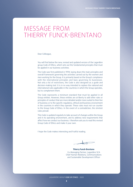## MESSAGE FROM THIERRY FUNCK-BRENTANO

Dear Colleague,

You will find below the new, revised and updated version of the Lagardère group Code of Ethics, which sets out the fundamental principles that must be applied in our business activities.

The Code was first published in 1994, laying down the main principles and overall framework governing the activities carried out by the women and men working for the Group. It is primarily based on the Group's compliance with the international principles and laws governing its businesses. Not only a list of restrictions, the Code is also designed as a guide and decision-making tool. It is in no way intended to replace the national and international rules applicable in the countries in which the Group operates, but to complement them.

The Code represents a minimum standard that must be applied in all Group entities. However, these entities are at liberty to add other rules or principles of conduct that are more detailed and/or more suited to their line of business or to the specific regulatory, ethical and business environment in the countries in which they operate. These rules must not run counter to the Group Code of Ethics. In the event of a contradiction, the strictest rules prevail.

This Code is updated regularly to take account of changes within the Group and in its operating environment, and to address new requirements that affect how we conduct our business. I therefore ask you to read this revised Group Code of Ethics and make it your own.

I hope the Code makes interesting and fruitful reading.

**Thierry Funck-Brentano** Co-Managing Partner, Lagardère SCA Chief Human Relations, Communications and Sustainable Development Officer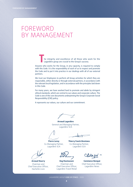## FOREWORD BY MANAGEMENT

**T**he integrity and excellence of all those who work for the Lagardère group are crucial to the Group's success.

Anyone who works for the Group, in any capacity, is required to comply with this Code. It is the responsibility of each of us to respect and promote the Code and to put it into practice in our dealings with all of our external partners.

We trust our Employees to perform all Group activities for which they are responsible, either directly or through external partners, in accordance with the relevant local legislation, and in accordance with the principles laid down in this Code.

For many years, we have worked hard to promote and abide by stringent ethical standards, which are central to our values and corporate culture. The Code is one of the core documents underpinning the Group's Corporate Social Responsibility (CSR) policy.

It represents our values, our culture and our commitment.

**Arnaud Lagardère** General and Managing Partner, Lagardère SCA

Co-Managing Partner, Lagardère SCA

**Arnaud Nourry** Chairman and Chief Executive Officer, Hachette Livre

**Pierre Leroy Thierry Funck-Brentano** Co-Managing Partner, Lagardère SCA

Chairman and Chief Executive Officer, Lagardère Travel Retail

**Dag Rasmussen Constance Benqué** Chief Executive Officer, Lagardère News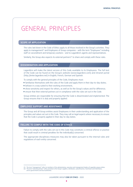## GENERAL PRINCIPLES

### SCOPE OF APPLICATION

The rules laid down in the Code of Ethics apply to all those involved in the Group's activities. They apply to management<sup>(1)</sup> and Employees of Group companies – with the term "Employees" including staff on secondment and temporary workers – and to Lagardère's agents and representatives.

Similarly, the Group also expects its external partners<sup> $(2)$ </sup> to share and comply with these rules.

### DISSEMINATION AND APPLICATION

Lagardère will make the latest version of this Code available to its Employees. The full text of the Code can be found on the Group's website (www.lagardere.com) and intranet portal (http://enter.lagardere.net) in English, French, German and Spanish.

To comply with the general principles of the Code, Employees must:

- $\rightarrow$  familiarise themselves with the rules of the Code and apply them in their day-to-day duties;
- $\rightarrow$  behave in a way suited to their working environment;
- $\rightarrow$  show sensitivity and respect for others, as well as for the Group's values and for difference;
- $\rightarrow$  ensure that their external partners act in compliance with the rules set out in the Code.

Group entities are responsible for ensuring that the Code is disseminated and implemented. The Group ensures that it is duly and properly applied.

### EMPLOYEE SUPPORT AND ASSISTANCE

The Group and all Group entities assist Employees in their understanding and application of the principles and values set out in this Code. They may call on legal experts where necessary to ensure that the Code is properly applied in their day-to-day duties.

### FAILURE TO COMPLY WITH THE CODE OF ETHICS

Failure to comply with the rules set out in this Code may constitute a criminal offence or practice that could result in criminal penalties for the individual(s) concerned.

The appropriate disciplinary measures may also be taken pursuant to the internal rules and regulations of each entity concerned.

<sup>(1)</sup> The term "management" refers to members of the administrative, executive and management bodies of Lagardère group entities. The term "hanagement" refers to members of the Gammaddive, executive the management succes of experience strep and to governments and local authorities.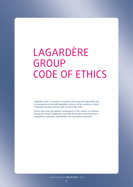# LAGARDÈRE GROUP CODE OF ETHICS

Lagardère aims to conduct its business honestly and impartially and in accordance not only with legislation in force in all the countries in which it operates, but also with the rules set out in this Code.

These rules must be applied continuously in the context of relations among the Group's Employees, and with the Group's external partners, competitors, customers, shareholders and civil society in general.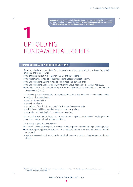## **1** UPHOLDING FUNDAMENTAL RIGHTS

### HUMAN RIGHTS AND WORKING CONDITIONS

As universal values, human rights form the very basis of the values adopted by Lagardère, which promotes and complies with:

- $\rightarrow$  the principles set out in the International Bill of Human Rights<sup>(1)</sup>;
- $\rightarrow$  the fundamental principles of the International Labour Organization (ILO);
- $\rightarrow$  the United Nations Guiding Principles on Business and Human Rights;
- $\rightarrow$  the United Nations Global Compact, of which the Group has been a signatory since 2003;
- $\rightarrow$  the Guidelines for Multinational Enterprises of the Organisation for Economic Co-operation and Development (OECD).

The Group expects its Employees and external partners to strictly uphold these fundamental rights, in particular those relating to:

- $\rightarrow$  freedom of association;
- $\rightarrow$  respect for privacy;
- $\rightarrow$  recognition of the right to negotiate industrial relations agreements;
- $\rightarrow$  prohibition of child labour and of forced or compulsory labour;
- $\rightarrow$  prevention of discrimination in employment practices.

The Group's Employees and external partners are also required to comply with local regulations regarding employment and working conditions.

Specifically, Lagardère undertakes to:

- $\rightarrow$  maintain an ongoing dialogue with its stakeholders as part of a continuous improvement process;
- $\rightarrow$  propose reporting procedures for all stakeholders within the countries and business entities concerned;
- $\rightarrow$  regularly assess risks of non-compliance with human rights and conduct frequent audits and checks.

<sup>(1)</sup> Universal Declaration of Human Rights, the International Covenant on Civil and Political Rights, and the International Covenant on Economic, Social and Cultural Rights.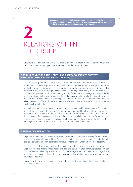**2**

**Ethics Line** is a confidential platform for reporting suspected unlawful or unethical activities or behaviour within the Group. **For more information, please refer to the** "Whistleblowing system" section on page 21 of this Code.

## RELATIONS WITHIN THE GROUP

Lagardère is committed to being a responsible employer in order to foster the motivation and creativity among its Employees that are essential for the Group's success.

#### WORKING CONDITIONS AND HEALTH AND SAFETY POLICIES TO PROTECT EMPLOYEES' PHYSICAL AND MENTAL HEALTH

The Lagardère group pays close attention to the working conditions of its direct and indirect Employees. It strives to provide a safe, healthy working environment in compliance with all applicable legal requirements. In any situation that endangers an Employee's life or health, it recognises the value of the right to stop working. The Group makes every effort to reduce health risks and occupational risks by endeavouring to identify, prevent and manage accidents and risks of all kinds. Group entities are responsible for continuously monitoring all risks to which they may be exposed directly or indirectly. The Group also strives to provide sufficient information to enable all Employees to fulfil their duties, and to ensure efficient industrial relations so that such matters can be dealt with locally.

All Employees are required to respect Group rules concerning health, hygiene and safety at work, and to take all reasonable precautions to maintain a safe and healthy working environment. Employees must also ensure that their actions do not put themselves or others at risk, and that they are aware of the procedures to follow in the event of a workplace emergency. They must report to their superiors any behaviour, installation or situation that could compromise the safety of their working environment, along with any accident or incident, even a minor one.

#### FIGHTING DISCRIMINATION

Lagardère is committed to treating all of its Employees equally, and to maintaining fair employment practices. The Group is opposed to all forms of discrimination based on a person's origin, lifestyle, age, sex, sexual orientation, political or religious opinions, trade union affiliation or disability.

The Group is neutral with respect to all religions and upholds a secular view of the workplace. Lagardère respects its Employees' beliefs and opinions, as well as their religious practices provided that these do not adversely affect the Group's internal organisation or operations. As regards the observance of religious holidays, the Group bases its policy on the legal framework in its various countries of operation.

To comply with these rules, Employees must not discriminate against any other Employees for any reason whatsoever.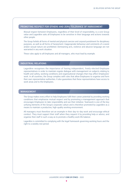### PROMOTING RESPECT FOR OTHERS AND ZERO TOLERANCE OF HARASSMENT

Mutual respect between Employees, regardless of their level of responsibility, is a core Group value and Lagardère asks all Employees to be sensitive in their language and actions towards other people.

The Group forbids all forms of mental and physical coercion and corporal punishment for disciplinary purposes, as well as all forms of harassment. Inappropriate behaviour and comments of a sexist and/or sexual nature are prohibited. Demeaning acts, violence and abusive language are not warranted in any work situation.

These rules apply to all Employees and all managers, who must lead by example.

### INDUSTRIAL RELATIONS

Lagardère recognises the importance of having independent, freely-elected Employee representatives in order to maintain regular dialogue with management on subjects relating to health and safety, working conditions and organisational changes that may affect Employees' work. In all countries, the Group complies with rules that allow Employees to organise and form their own representative authorities. It also guarantees that these representatives have access to work areas and to the Employees.

### MANAGEMENT

The Group makes every effort to help Employees fulfil their career potential by providing working conditions that emphasise mutual respect and by promoting a management approach that encourages Employees to take responsibility and use their initiative. Teamwork is one of the key unifying elements of the Group's corporate culture and is therefore promoted by Lagardère as a means to maintain a productive, high-quality working environment.

All managers must therefore set an example in their day-to-day work and encourage ethical conduct. They must support their staff when they request it by providing help or advice, and organise their staff in such a way as to promote a healthy work-life balance.

Lagardère is committed to complying with the legal framework governing working hours and the right to a weekly rest period.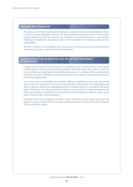### TRAINING AND PROMOTION

The Group is committed to developing Employees' professional skills and responsibilities. This is crucial in ensuring Lagardère's success. The Group attaches great importance to the principles of equal opportunity and fair treatment, by rewarding merit and performance. It also supports Employees' development, through promotion, internal mobility and training to enhance their employability.

All those in positions of responsibility must respect these commitments and pay close attention to the training, promotion and fair treatment of Employees.

### CONFIDENTIALITY OF INFORMATION AND PROTECTING THE PRIVACY OF EMPLOYEES

Lagardère fully respects the privacy of its Employees and is committed to ensuring the confidentiality of any personal information relating to Employees that it may collect or hold. The Group's entities are responsible for establishing procedures, in compliance with current national legislation, to protect Employees' personal information, and to make the necessary disclosures to the relevant organisations.

As a result, any person handling personal data relating to Employees must ensure that he/she retains only those data that are necessary for the operations falling under their responsibility, and that the data are stored for the appropriate period in complete security, in accordance with Group policy. That person must also ensure that the data are only passed on to authorised persons and only where necessary, and that the data cannot be accessed by persons outside the Group, except where necessary due to legal obligations.

Employees who have any questions or require further information on this matter may contact the person in charge of liaising with the local data protection authority, in particular the Data Protection Officer within their division.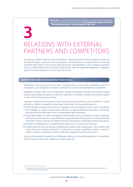## **3** RELATIONS WITH EXTERNAL PARTNERS AND COMPETITORS

The Group's relations with its external partners<sup>(1)</sup> must be based on mutual respect, in order to facilitate dialogue, interaction and co-operation. All Employees are expected to act fairly and impartially with respect to the Group's external partners and competitors, and to maintain respectful working relationships with them that comply strictly with the applicable legislation. Lagardère expects its external partners to share these principles.

#### COMPETITION AND FAIR BUSINESS PRACTICES

Regulations covering business practices, especially those concerning competition and price transparency, are designed to maintain a competitive economy and promote fair competition.

Lagardère considers that it is in its interests to develop its business in sectors with healthy trading practices that enable all players to fulfil their potential. The Group's activities are therefore based on fair and honest business practices.

Lagardère respects the principles of fair competition and forbids the use of unlawful or unfair practices to obtain a competitive advantage. In particular, the Group undertakes to:

- $\rightarrow$  forbid all types of agreements between Lagardère and its competitors which seek to coordinate their strategies on a given market, share customers or regional markets among them, or exchange business-sensitive information with no appropriate legal framework;
- $\rightarrow$  ensure that projects or offers developed in partnership with its competitors provide customers with better service and in no way eliminate competition with those partners, and that only the information strictly necessary for implementing the partnership is exchanged between the parties;
- $\rightarrow$  maintain its independence in establishing its sales prices or commercial offerings;
- $\rightarrow$  comply with the rules governing competitive processes when taking part in any tenders and refrain from any practices designed to circumvent or disrupt competitive tenders, in both its relations with its competitors as well as with the companies launching the tenders.

Owing to the potential complexity and challenges relating to the practical application of competition law, the Group recommends adopting a prudent approach.

<sup>(1)</sup> The term "external partners" refers primarily to the Group's suppliers, distributors, subcontractors, franchisors and franchisees, and to governments and local authorities.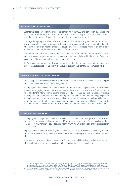### PROHIBITION OF CORRUPTION

Lagardère places particular importance on complying with OECD anti-corruption guidelines. The Group has zero tolerance of corruption. Its anti-corruption policy and specific anti-corruption procedures reiterate the Group's ethical standards and are applicable to all.

The Lagardère group therefore refuses to promise, offer, authorise, grant, solicit or accept illicit payments or other undue advantages with a view to winning or retaining a contract, unlawfully influencing the decision-making process, or abusing any real or supposed influence on a third party to obtain a favourable decision or any other unfair advantage.

More generally, these principles apply in dealings with its customers, private or public sector suppliers, as well as government bodies and agencies, particularly within the scope of activities subject to public procurement or authorisation procedures.

All Employees are required to observe the applicable legislation in this area and to respect the compliance procedures set up within the Group to prevent and identify any corruption risks.

### SERVICES OF PAID INTERMEDIARIES

The use of paid intermediaries is only warranted if it involves actual, practical services and complies strictly with applicable legislation and regulations.

All Employees must ensure strict compliance with the procedures in place within the Lagardère group when engaging the services of a paid intermediary, in such a way that the Group cannot be held liable for the intermediary's actions. These procedures include carrying out upstream checks, drawing up a formal agreement and monitoring the arrangement from an operating perspective. All Employees must ensure that the intermediary is paid for the services actually provided, as set out in the agreement. Before engaging any intermediary, Employees should also systematically ensure that there is no conflict of interests between that intermediary and other stakeholders.

### CONFLICTS OF INTERESTS

All Employees could potentially find themselves in a position where their personal interests, the interests of a person or legal entity connected<sup>(1)</sup> to them or the interests of a person close to them (i.e., a close family member<sup>(2)</sup>) could potentially conflict with the Group's interests or give the impression of impropriety.

Employees should therefore avoid any situation that could give rise to a conflict of interests, and must inform their superiors if they find themselves in a situation involving an actual or potential conflict of interests.

In general and as a precautionary measure, all Employees should be able to justify the fairness and integrity of their practices in their dealings with external partners and competitors.

<sup>(1)</sup> The term "connected" refers to any direct or indirect link between a third party (such as a supplier, customer, partner, competitor or any other person with whom a working relationship has been formed) and an Employee.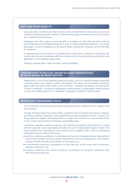### GIFTS AND OTHER BENEFITS

Corporate gifts, invitations and other benefits (such as entertainment, discounts and services) intended to develop respectful relations, reinforce brand image or promote products and services are a common business practice.

Employees who offer, propose or promise gifts or invitations or who take any action with the aim of influencing the intended beneficiary in order to obtain preferential treatment or an undue advantage, in breach of legislation or the duty of loyalty towards their employer, will be held liable for corruption.

If corporate gifts or other benefits are accepted from a third party or offered to a third party, this must be done strictly in accordance with the conditions set by Group procedures and with the rules applicable to each Lagardère group entity.

Soliciting corporate gifts or other benefits is strictly prohibited.

### CONTRIBUTIONS TO POLITICAL AND/OR RELIGIOUS ORGANISATIONS BY OR ON BEHALF OF GROUP ENTITIES

Independence is one of the Lagardère group's key values, and it has therefore always maintained a neutral position with respect to politics and religion. The Group and its Employees therefore agree, within the scope of their duties, not to contribute – including contributions of working time or loans of materials – to religious organisations, political groups or organisations whose purpose is to promote political parties, or to candidates' campaigns in national or local elections.

### RESPONSIBLE PROCUREMENT POLICY

The Group seeks to maintain and promote responsible and fair relations with its suppliers and subcontractors.

Through its Responsible Procurement Policy, Lagardère looks to maintain fair business relations and closely monitors compliance with negotiated purchasing and payment terms. In return, the Group expects its suppliers and subcontractors to conduct their activities in a manner that furthers its own social, environmental and business sustainability goals.

In particular, Lagardère requires its partners, and indirectly any partners of its partners, to comply with the corporate social responsibility principles set out in its Responsible Supplier Charter. This Charter outlines the requirements to be respected by its suppliers with a view to maintaining sustainable business relations and covers:

- $\rightarrow$  working conditions: prohibition of child labour and forced or compulsory labour along with all forms of discrimination, as well as specific requirements in terms of working hours, remuneration, employee health and safety and freedom of association, etc.;
- $\rightarrow$  environmental conditions: management of raw materials, waste, water and air emissions, hazardous substances, etc.;
- $\rightarrow$  conditions relating to the conduct of business: prohibition of corruption, compliance with international sanctions, etc.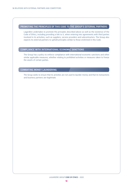### PROMOTING THE PRINCIPLES OF THIS CODE TO THE GROUP'S EXTERNAL PARTNERS

Lagardère undertakes to promote the principles described above as well as the existence of the Code of Ethics, including providing a link to it, when entering into agreements with third parties involved in its activities, such as suppliers, service providers and subcontractors. The Group also expects its external partners to uphold principles similar to those enshrined in this Code.

### COMPLIANCE WITH INTERNATIONAL ECONOMIC SANCTIONS

The Group has a policy to enforce compliance with international economic sanctions and other similar applicable measures, whether relating to prohibited activities or measures taken to freeze the assets of certain parties.

### COMBATING MONEY LAUNDERING

The Group seeks to ensure that its activities are not used to launder money and that its transactions and business partners are legitimate.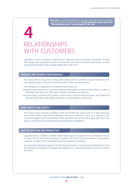## **4** RELATIONSHIPS WITH CUSTOMERS

Lagardère's success is based on respecting its customers and ensuring their satisfaction. Among other things, this requires all Employees to deal with customers in an entirely fair manner, in order to build and maintain strong, trusting relationships with them.

### PRODUCT AND SERVICE PERFORMANCE

The Group aims to forge close, lasting relationships with its customers, by providing them with high-quality products and services that meet their needs and expectations.

Every Employee is expected to contribute to these goals, by:

- $\rightarrow$  paying close attention to customers, without assumptions or preconceived ideas, in order to anticipate their needs and offer them a variety of products and services;
- $\rightarrow$  meticulously monitoring the products and services that the Group provides, and seeking to innovate and improve the quality and safety of those products and services.

### FOOD HEALTH AND SAFETY

The Group closely monitors compliance with food health and safety rules in its take-away and eat-in sales outlets. Food Safety Guidelines have been defined to serve as a reference in all countries engaged in the food business. These guidelines set out the policy along with strict rules that are sometimes more demanding than local hygiene regulations.

### FAIR ADVERTISING AND MARKETING

Lagardère aims to establish customer relationships based on respect and trust. It therefore strives to ensure that the information customers are given is as honest and fair as possible. In this respect, Lagardère complies strictly with advertising and marketing regulations.

As regards the advertising services that the Group provides to its customers, all Employees must have detailed knowledge of the applicable regulations as regards transparency and must comply with them.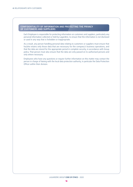### CONFIDENTIALITY OF INFORMATION AND PROTECTING THE PRIVACY OF CUSTOMERS AND SUPPLIERS

Each Employee is responsible for protecting information on customers and suppliers, particularly any personal information collected or held by Lagardère, to ensure that the information is not disclosed or used in any way that is forbidden or inappropriate.

As a result, any person handling personal data relating to customers or suppliers must ensure that he/she retains only those data that are necessary for the company's business operations, and that the data are stored for the appropriate period in complete security, in accordance with Group policy. That person must also ensure that the data are only passed on to authorised persons and only where necessary.

Employees who have any questions or require further information on this matter may contact the person in charge of liaising with the local data protection authority, in particular the Data Protection Officer within their division.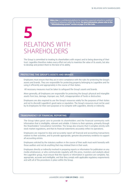## **5** RELATIONS WITH SHAREHOLDERS

The Group is committed to treating its shareholders with respect and to being deserving of their trust. Lagardère therefore makes every effort not only to maximise the value of its assets, but also to develop and protect them to the best of its ability.

### PROTECTING THE GROUP'S ASSETS AND BRANDS

Employees must ensure that they act in strict compliance with the rules for protecting the Group's assets and brands. They are responsible for protecting property belonging to Lagardère and for using it efficiently and appropriately in the course of their duties.

All necessary measures must be taken to safeguard the Group's assets and brands.

More generally, all Employees are responsible for protecting the Group's physical and intangible assets from loss, damage, improper use, theft, misappropriation of funds or destruction.

Employees are also required to use the Group's resources solely for the purposes of their duties and not to discredit Lagardère's good name or reputation. The Group's resources must not be used by its Employees for their own purposes or to compete with Lagardère, directly or indirectly.

### TRANSPARENCY OF FINANCIAL REPORTING

The Group takes great care to provide its shareholders and the financial community with information that is intelligible, relevant and reliable. It listens to their opinions, primarily through the Shareholders' Consultative Committee. The Group also ensures that it complies strictly with stock market regulations, and that its financial statements accurately reflect its operations.

Employees are required to duly and accurately report all financial and accounting transactions relative to their activities, and to provide appropriate, genuine documentary evidence to support all accounting entries.

Employees solicited by the statutory auditors in the course of their audit must work honestly with those auditors and not do anything that may mislead them in their work.

Employees directly or indirectly involved in preparing reports or information for publication on any media whatsoever, or who communicate regularly with the press, investors and analysts about the Lagardère group, must ensure that the reports or information in question are complete, fair, appropriate, accurate and intelligible, and that they comply with applicable regulatory requirements and with all of the procedures in place within the Group.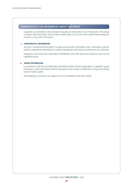### CONFIDENTIALITY OF INFORMATION ABOUT THE GROUP

Lagardère is committed to the principle of equality of information for all third parties. The Group considers that information has not been made public if it has not been widely disseminated to investors or any other third party.

#### I. CONFIDENTIAL INFORMATION

The term "confidential information" includes all non-public information that, if disclosed, could be used by Lagardère's competitors or could be damaging to the Group, its partners or its customers.

Employees must keep such information confidential, even after they have ceased to work for the Lagardère group.

### II. INSIDE INFORMATION

In accordance with the Confidentiality and Market Ethics Charter applicable to Lagardère group Employees, inside information held by Employees must remain confidential as long as the Group has not made it public.

The Employees concerned are required to act in compliance with this Charter.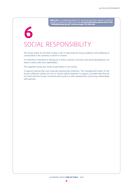## **6** SOCIAL RESPONSIBILITY

The Group wants its activities to play a role in improving the living conditions and wellbeing of communities in the countries in which it is based.

It is therefore committed to taking part in these countries' economic and social development, for which it works with local stakeholders.

The Lagardère group also seeks to participate in civil society.

It supports partnership and corporate sponsorship initiatives. The management teams of the Group's different entities are free to choose which initiatives to support, provided that they do not clash with the Group's communications policy or with requirements concerning relationships with partners.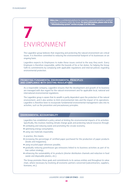# **7** ENVIRONMENT

The Lagardère group believes that respecting and protecting the natural environment are critical issues. It is therefore committed to reducing the environmental footprint of its businesses on an ongoing basis.

Lagardère expects its Employees to make these issues central to the way they work. Every Employee is therefore responsible, within the bounds of his or her duties, for helping the Group fulfil its commitments by complying with applicable regulations and internal policies regarding environmental protection.

### PROMOTING FUNDAMENTAL ENVIRONMENTAL PRINCIPLES AND COMPLIANCE WITH EXISTING REGULATIONS

As a responsible company, Lagardère ensures that the development and growth of its business are managed with due regard for the natural environment and for applicable local, national and international environmental regulations.

The Lagardère group is aware that its wealth is partly dependent upon the protection of the natural environment, and it also wishes to limit environmental risks and the impact of its operations. Lagardère is therefore keen to incorporate fundamental environmental management rules into its activities, such as the prevention and precautionary principles.

### ENVIRONMENTAL ACCOUNTABILITY

Lagardère has established a policy aimed at limiting the environmental impacts of its activities. Specifically, this involves meeting climate change goals and protecting natural resources through:

- $\rightarrow$  combating and reducing waste and promoting the circular economy;
- $\rightarrow$  optimising energy consumption;
- $\rightarrow$  using raw materials responsibly.

In practice, this means:

- $\rightarrow$  increasing the percentage of certified paper purchased for the production of paper products (books and magazines);
- $\rightarrow$  using recycled paper wherever possible:
- $\rightarrow$  gradually reducing greenhouse gas emissions linked to its business activities as part of its low-carbon strategy;
- $\rightarrow$  enhancing the sustainability of its products (shorter distribution channels and reduction in food waste and disposable plastics, etc.).

The Group promotes these goals and commitments to its various entities and throughout its value chain, where necessary by involving all economic partners concerned (subcontractors, suppliers, licensees, etc.).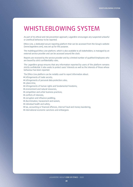## WHISTLEBLOWING SYSTEM

As part of its ethical and risk prevention approach, Lagardère encourages any suspected unlawful or unethical behaviour to be reported.

Ethics Line, a dedicated secure reporting platform that can be accessed from the Group's website (www.lagardere.com), was set up for this purpose.

The multilingual Ethics Line platform, which is also available to all stakeholders, is managed by an external service provider and can be accessed around the clock.

Reports are received by the service provider and by a limited number of qualified Employees who are bound by strict confidentiality rules.

The Lagardère group ensures that any information reported by users of the platform remains strictly confidential. It also seeks to protect users' interests as well as the interests of those whose behaviour has been reported.

The Ethics Line platform can be notably used to report information about:

- $\rightarrow$  infringements of trade secrets;
- $\rightarrow$  infringements of personal data protection rules;
- $\rightarrow$  cybercrime;
- $\rightarrow$  infringements of human rights and fundamental freedoms;
- $\rightarrow$  environment and natural resources:
- $\rightarrow$  competition and unfair business practices;
- $\rightarrow$  conflicts of interests;
- $\rightarrow$  corruption and influence peddling;
- $\rightarrow$  discrimination, harassment and sexism;
- $\rightarrow$  individual health and safety;
- $\rightarrow$  tax, accounting or financial offences, internal fraud and money laundering;
- $\rightarrow$  international economic sanctions and embargoes.